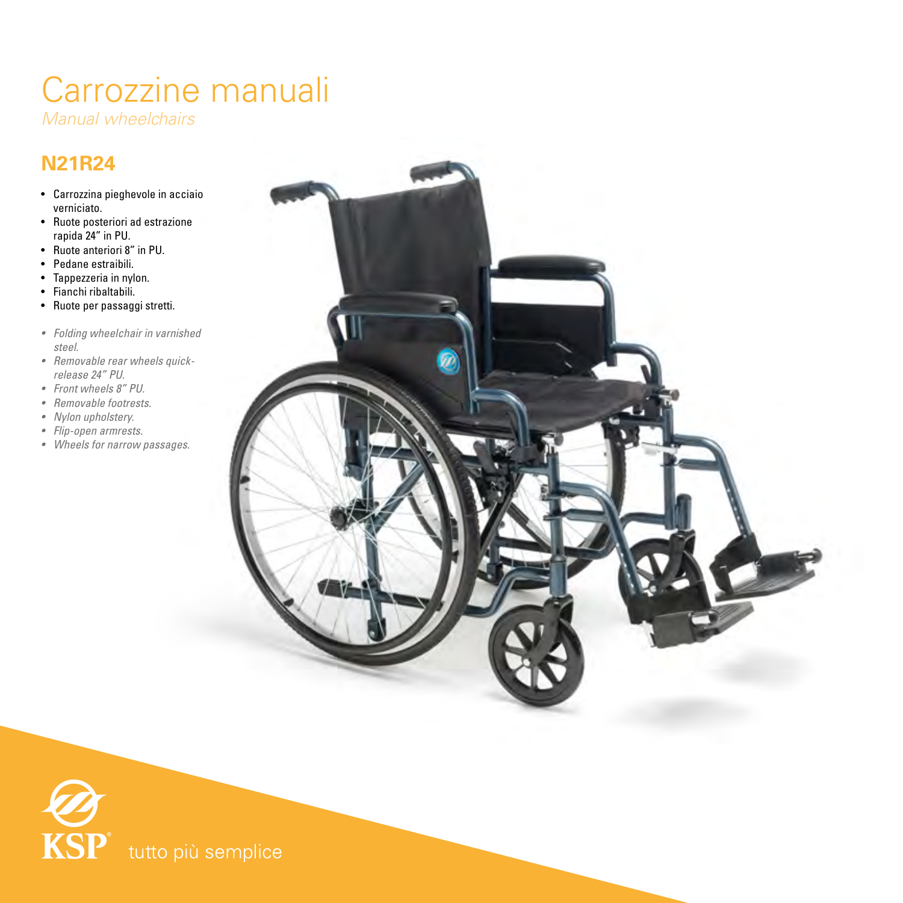## Carrozzine manuali

*Manual wheelchairs*

## **N21R24**

- Carrozzina pieghevole in acciaio verniciato.
- Ruote posteriori ad estrazione rapida 24" in PU.
- Ruote anteriori 8" in PU.
- Pedane estraibili.
- Tappezzeria in nylon.
- Fianchi ribaltabili.
- Ruote per passaggi stretti.
- *• Folding wheelchair in varnished steel.*
- *• Removable rear wheels quickrelease 24" PU.*
- *• Front wheels 8" PU.*
- *• Removable footrests.*
- *• Nylon upholstery.*
- *• Flip-open armrests.*
- *• Wheels for narrow passages.*





tutto più semplice